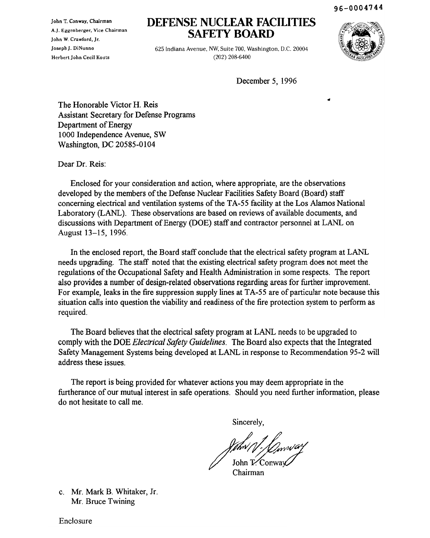96-0004744

John T. Conway, Chairman A.J. Eggenberger, Vice Chairman John W. Crawford, Jr. Joseph J. DiNunno Herbert John Cecil Kouts

# **DEFENSE NUCLEAR FACILITIES SAFETY BOARD**

625 Indiana Avenue, NW, Suite 700, Washington, D.C. 20004 (202) 208-6400



December 5, 1996

The Honorable Victor H. Reis Assistant Secretary for Defense Programs Department of Energy 1000 Independence Avenue, SW Washington, DC 20585-0104

Dear Dr. Reis:

Enclosed for your consideration and action, where appropriate, are the observations developed by the members of the Defense Nuclear Facilities Safety Board (Board) staff concerning electrical and ventilation systems of the TA-55 facility at the Los Alamos National Laboratory (LANL). These observations are based on reviews of available documents, and discussions with Department of Energy (DOE) staff and contractor personnel at LANL on August 13-15, 1996.

In the enclosed report, the Board staff conclude that the electrical safety program at LANL needs upgrading. The staff noted that the existing electrical safety program does not meet the regulations of the Occupational Safety and Health Administration in some respects. The report also provides a number of design-related observations regarding areas for further improvement. For example, leaks in the fire suppression supply lines at TA-55 are of particular note because this situation calls into question the viability and readiness of the fire protection system to perform as required.

The Board believes that the electrical safety program at LANL needs to be upgraded to comply with the DOE *Electrical Safety Guidelines*. The Board also expects that the Integrated Safety Management Systems being developed at LANL in response to Recommendation 95-2 will address these issues.

The report is being provided for whatever actions you may deem appropriate in the furtherance of our mutual interest in safe operations. Should you need further information, please do not hesitate to call me.

Sincerely,

John ( ] : JOs<br>John T. Conwa

Chairman

c. Mr. Mark B. Whitaker, If. Mr. Bruce Twining

Enclosure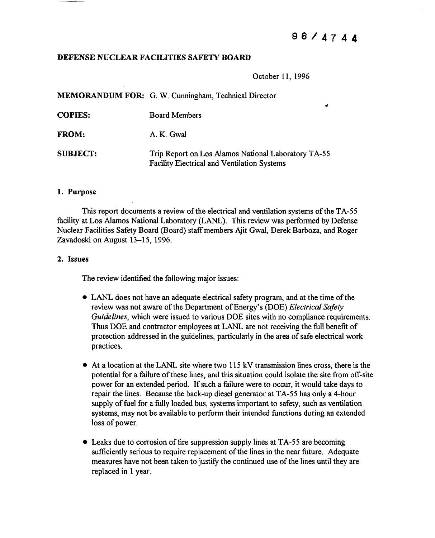z

# DEFENSE NUCLEAR FACILITIES SAFETY BOARD

October 11, 1996

MEMORANDUM FOR: G. W. Cunningham, Technical Director COPIES: FROM: SUBJECT: Board Members A. K. Gwal Trip Report on Los Alamos National Laboratory TA-55

## 1. Purpose

This report documents a review of the electrical and ventilation systems of the TA-55 facility at Los Alamos National Laboratory (LANL). This review was performed by Defense Nuclear Facilities Safety Board (Board) staffmembers Ajit Gwal, Derek Barboza, and Roger Zavadoski on August 13-15, 1996.

Facility Electrical and Ventilation Systems

### 2. Issues

The review identified the following major issues:

- LANL does not have an adequate electrical safety program, and at the time of the review was not aware of the Department of Energy's (DOE) *Electrical Safety Guidelines,* which were issued to various DOE sites with no compliance requirements. Thus DOE and contractor employees at LANL are not receiving the full benefit of protection addressed in the guidelines, particularly in the area of safe electrical work practices.
- At a location at the LANL site where two 115 kV transmission lines cross, there is the potential for a failure of these lines, and this situation could isolate the site from off-site power for an extended period. If such a failure were to occur, it would take days to repair the lines. Because the back-up diesel generator at TA-55 has only a 4-hour supply of fuel for a fully loaded bus, systems important to safety, such as ventilation systems, may not be available to perform their intended functions during an extended loss of power.
- Leaks due to corrosion of fire suppression supply lines at TA-55 are becoming sufficiently serious to require replacement of the lines in the near future. Adequate measures have not been taken to justify the continued use of the lines until they are replaced in 1 year.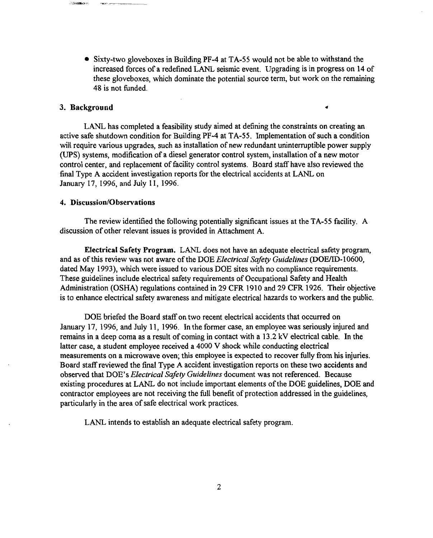• Sixty-two gloveboxes in Building PF-4 at TA-55 would not be able to withstand the increased forces of a redefined LANL seismic event. Upgrading is in progress on 14 of these gloveboxes, which dominate the potential source term, but work on the remaining 48 is not funded.

 $\blacktriangleleft$ 

## 3. Background

LANL has completed a feasibility study aimed at defining the constraints on creating an active safe shutdown condition for Building  $PF-4$  at  $TA-55$ . Implementation of such a condition will require various upgrades, such as installation of new redundant uninterruptible power supply (UPS) systems, modification of a diesel generator control system, installation of a new motor control center, and replacement of facility control systems. Board staff have also reviewed the final Type A accident investigation reports for the electrical accidents at LANL on January 17, 1996, and July 11, 1996.

## 4. Discussion/Observations

The review identified the following potentially significant issues at the TA-55 facility. A discussion of other relevant issues is provided in Attachment A.

Electrical Safety Program. LANL does not have an adequate electrical safety program, and as of this review was not aware of the DOE *Electrical Safety Guidelines* (DOE/ID-10600, dated May 1993), which were issued to various DOE sites with no compliance requirements. These guidelines include electrical safety requirements of Occupational Safety and Health Administration (OSHA) regulations contained in 29 CFR 1910 and 29 CPR 1926. Their objective is to enhance electrical safety awareness and mitigate electrical hazards to workers and the public.

DOE briefed the Board staff on two recent electrical accidents that occurred on January 17, 1996, and July 11, 1996. In the former case, an employee was seriously injured and remains in a deep coma as a result of coming in contact with a 13.2 kV electrical cable. In the latter case, a student employee received a 4000 V shock while conducting electrical measurements on a microwave oven; this employee is expected to recover fully from his injuries. Board staffreviewed the final Type A accident investigation reports on these two accidents and observed that DOE's *Electrical Safety Guidelines* document was not referenced. Because existing procedures at LANL do not include important elements of the DOE guidelines, DOE and contractor employees are not receiving the full benefit of protection addressed in the guidelines, particularly in the area of safe electrical work practices.

LANL intends to establish an adequate electrical safety program.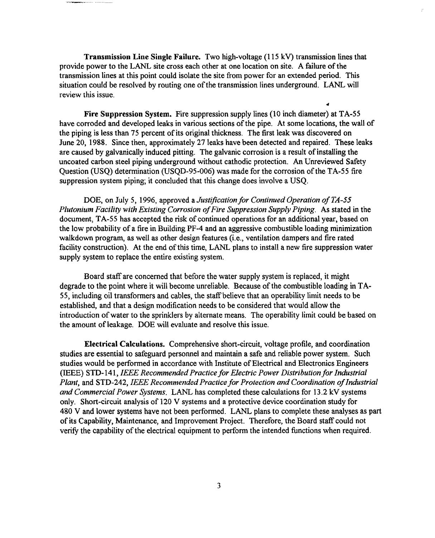Transmission Line Single Failure. Two high-voltage (115 kV) transmission lines that provide power to the LANL site cross each other at one location on site. A failure of the transmission lines at this point could isolate the site from power for an extended period. This situation could be resolved by routing one of the transmission lines underground. LANL will review this issue.

Fire Suppression System. Fire suppression supply lines (10 inch diameter) at TA-55 have corroded and developed leaks in various sections of the pipe. At some locations, the wall of the piping is less than 75 percent of its original thickness. The first leak was discovered on June 20, 1988. Since then, approximately 27 leaks have been detected and repaired. These leaks are caused by galvanically induced pitting. The galvanic corrosion is a result of installing the uncoated carbon steel piping underground without cathodic protection. An Unreviewed Safety Question (USQ) determination (USQD-95-006) was made for the corrosion of the TA-55 fire suppression system piping; it concluded that this change does involve a USQ.

DOE, on July 5, 1996, approved a *Justification for Continued Operation ofTA-55 Plutonium Facility with Existing Corrosion ofFire Suppression Supply Piping.* As stated in the document, TA-55 has accepted the risk of continued operations for an additional year, based on the low probability of a fire in Building PF-4 and an aggressive combustible loading minimization walkdown program, as well as other design features (i.e., ventilation dampers and fire rated facility construction). At the end of this time, LANL plans to install a new fire suppression water supply system to replace the entire existing system.

Board staff are concerned that before the water supply system is replaced, it might degrade to the point where it will become unreliable. Because of the combustible loading in TA-SS, including oil transformers and cables, the staffbelieve that an operability limit needs to be established, and that a design modification needs to be considered that would allow the introduction of water to the sprinklers by alternate means. The operability limit could be based on the amount of leakage. DOE will evaluate and resolve this issue.

Electrical Calculations. Comprehensive short-circuit, voltage profile, and coordination studies are essential to safeguard personnel and maintain a safe and reliable power system. Such studies would be performed in accordance with Institute of Electrical and Electronics Engineers (IEEE) STD-141, *IEEE RecommendedPractice for Electric Power Distributionfor Industrial Plant, and STD-242, IEEE Recommended Practice for Protection and Coordination of Industrial and Commercial Power Systems.* LANL has completed these calculations for 13.2 kV systems only. Short-circuit analysis of 120 V systems and a protective device coordination study for 480 V and lower systems have not been performed. LANL plans to complete these analyses as part ofits Capability, Maintenance, and Improvement Project. Therefore, the Board staff could not verify the capability of the electrical equipment to perform the intended functions when required.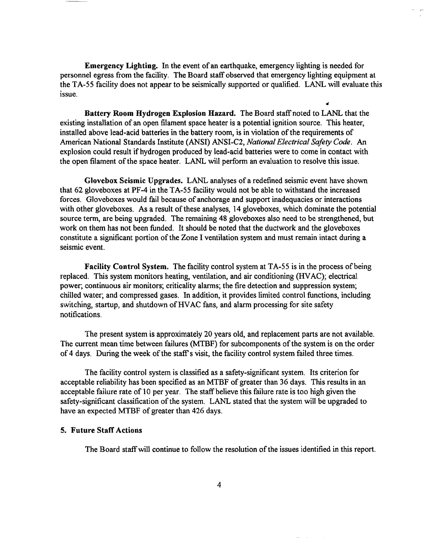Emergency Lighting. In the event of an earthquake, emergency lighting is needed for personnel egress from the facility. The Board staff observed that emergency lighting equipment at the TA-55 facility does not appear to be seismically supported or qualified. LANL will evaluate this issue.

Battery Room Hydrogen Explosion Hazard. The Board staffnoted to LANL that the existing installation of an open filament space heater is a potential ignition source. This heater, installed above lead-acid batteries in the battery room, is in violation of the requirements of American National Standards Institute (ANSI) ANSI-C2, *National Electrical Safety Code.* An explosion could result if hydrogen produced by lead-acid batteries were to come in contact with the open filament of the space heater. LANL will perform an evaluation to resolve this issue.

Glovebox Seismic Upgrades. LANL analyses of a redefined seismic event have shown that 62 gloveboxes at PF-4 in the TA-55 facility would not be able to withstand the increased forces. Gloveboxes would fail because of anchorage and support inadequacies or interactions with other gloveboxes. As a result of these analyses, 14 gloveboxes, which dominate the potential source term, are being upgraded. The remaining 48 gloveboxes also need to be strengthened, but work on them has not been funded. It should be noted that the ductwork and the gloveboxes constitute a significant portion of the Zone I ventilation system and must remain intact during a seismic event.

Facility Control System. The facility control system at TA-55 is in the process of being replaced. This system monitors heating, ventilation, and air conditioning (HVAC); electrical power; continuous air monitors; criticality alarms; the fire detection and suppression system; chilled water; and compressed gases. In addition, it provides limited control functions, including switching, startup, and shutdown of HVAC fans, and alarm processing for site safety notifications.

The present system is approximately 20 years old, and replacement parts are not available. The current mean time between failures (MTBF) for subcomponents of the system is on the order of 4 days. During the week of the staff's visit, the facility control system failed three times.

The facility control system is classified as a safety-significant system. Its criterion for acceptable reliability has been specified as an MTBF of greater than 36 days. This results in an acceptable failure rate of 10 per year. The staff believe this failure rate is too high given the safety-significant classification of the system. LANL stated that the system will be upgraded to have an expected MTBF of greater than 426 days.

## 5. Future Staff Actions

The Board staff will continue to follow the resolution of the issues identified in this report.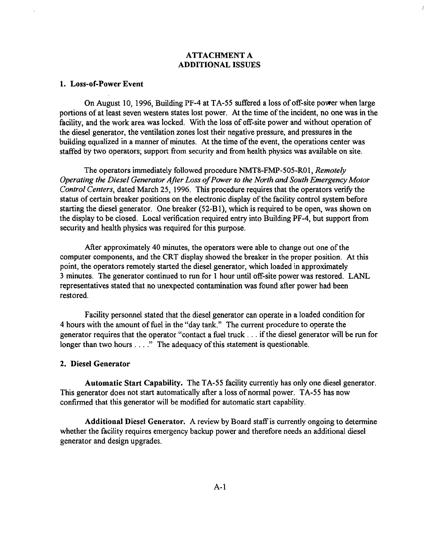# ATTACHMENT A ADDITIONAL ISSUES

# 1. Loss-of-Power Event

On August 10, 1996, Building PF-4 at  $TA-55$  suffered a loss of off-site power when large portions of at least seven western states lost power. At the time of the incident, no one was in the facility, and the work area was locked. With the loss of off-site power and without operation of the diesel generator, the ventilation zones lost their negative pressure, and pressures in the building equalized in a manner of minutes. At the time of the event, the operations center was staffed by two operators; support from security and from health physics was available on site.

The operators immediately followed procedure NMT8-FMP-505-R01, *Remotely Operating the Diesel Generator After Loss ofPower to the North and South Emergency Motor Control Centers,* dated March 25, 1996. This procedure requires that the operators verify the status of certain breaker positions on the electronic display of the facility control system before starting the diesel generator. One breaker (52-BI), which is required to be open, was shown on the display to be closed. Local verification required entry into Building PF-4, but support from security and health physics was required for this purpose.

After approximately 40 minutes, the operators were able to change out one of the computer components, and the CRT display showed the breaker in the proper position. At this point, the operators remotely started the diesel generator, which loaded in approximately 3 minutes. The generator continued to run for I hour until off-site power was restored. LANL representatives stated that no unexpected contamination was found after power had been restored.

Facility personnel stated that the diesel generator can operate in a loaded condition for 4 hours with the amount offuel in the "day tank." The current procedure to operate the generator requires that the operator "contact a fuel truck . . . if the diesel generator will be run for longer than two hours  $\dots$ ." The adequacy of this statement is questionable.

# 2. Diesel Generator

Automatic Start Capability. The TA-55 facility currently has only one diesel generator. This generator does not start automatically after a loss of normal power. TA-55 has now confirmed that this generator will be modified for automatic start capability.

Additional Diesel Generator. A review by Board staffis currently ongoing to determine whether the facility requires emergency backup power and therefore needs an additional diesel generator and design upgrades.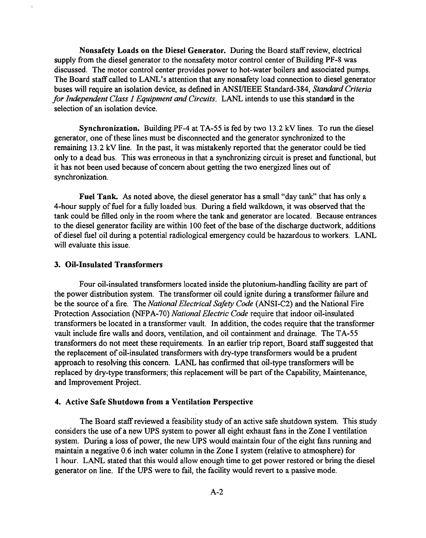Nonsafety Loads on the Diesel Generator. During the Board staffreview, electrical supply from the diesel generator to the nonsafety motor control center of Building PF-8 was discussed. The motor control center provides power to hot-water boilers and associated pumps. The Board staff called to LANL's attention that any nonsafety load connection to diesel generator buses will require an isolation device, as defined in ANSIlIEEE Standard-384, *Standard Criteria for Independent Class I Equipment and Circuits.* LANL intends to use this standard in the selection of an isolation device.

Synchronization. Building PF-4 at TA-55 is fed by two 13.2 kV lines. To run the diesel generator, one of these lines must be disconnected and the generator synchronized to the remaining 13.2 kV line. In the past, it was mistakenly reported that the generator could be tied only to a dead bus. This was erroneous in that a synchronizing circuit is preset and functional, but it has not been used because of concern about getting the two energized lines out of synchronization.

Fuel Tank. As noted above, the diesel generator has a small "day tank" that has only a 4-hour supply of fuel for a fully loaded bus. During a field walkdown, it was observed that the tank could be filled only in the room where the tank and generator are located. Because entrances to the diesel generator facility are within 100 feet of the base of the discharge ductwork, additions of diesel fuel oil during a potential radiological emergency could be hazardous to workers. LANL will evaluate this issue.

# 3. Oil-Insulated Transformers

Four oil-insulated transformers located inside the plutonium-handling facility are part of the power distribution system. The transformer oil could ignite during a transformer failure and be the source of a fire. The *National Electrical Safety Code* (ANSI-C2) and the National Fire Protection Association (NFPA-70) *National Electric Code* require that indoor oil-insulated transformers be located in a transformer vault. In addition, the codes require that the transformer vault include fire walls and doors, ventilation, and oil containment and drainage. The TA-55 transformers do not meet these requirements. In an earlier trip report, Board staff suggested that the replacement of oil-insulated transformers with dry-type transformers would be a prudent approach to resolving this concern. LANL has confirmed that oil-type transformers will be replaced by dry-type transformers; this replacement will be part of the Capability, Maintenance, and Improvement Project.

## 4. Active Safe Shutdown from a Ventilation Perspective

The Board staff reviewed a feasibility study of an active safe shutdown system. This study considers the use of a new UPS system to power all eight exhaust fans in the Zone I ventilation system. During a loss of power, the new UPS would maintain four of the eight fans running and maintain a negative 0.6 inch water column in the Zone I system (relative to atmosphere) for 1 hour. LANL stated that this would allow enough time to get power restored or bring the diesel generator on line. If the UPS were to fail, the facility would revert to a passive mode.